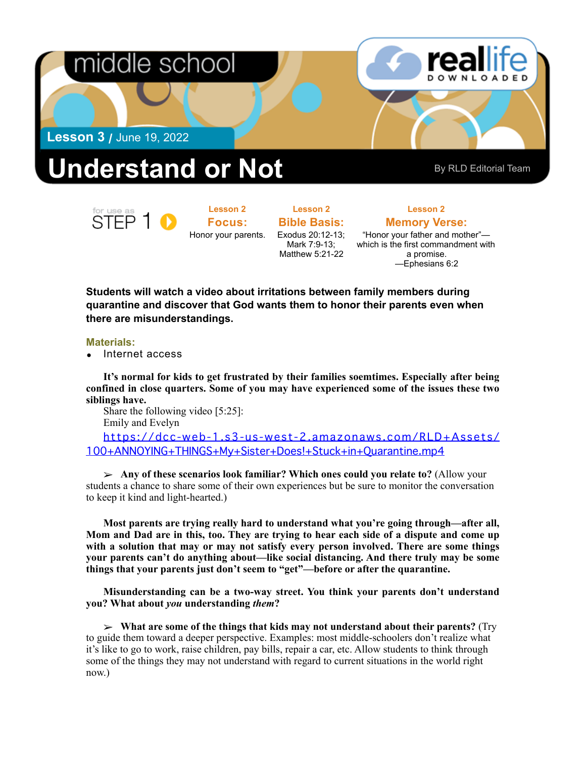

## Understand or Not By RLD Editorial Team

STFP 1

**Lesson 2 Focus:**  Honor your parents.

**Lesson 2 Bible Basis:** Exodus 20:12-13; Mark 7:9-13; Matthew 5:21-22

**Lesson 2** 

**Memory Verse:** "Honor your father and mother" which is the first commandment with a promise. —Ephesians 6:2

**Students will watch a video about irritations between family members during quarantine and discover that God wants them to honor their parents even when there are misunderstandings.** 

## **Materials:**

• Internet access

**It's normal for kids to get frustrated by their families soemtimes. Especially after being confined in close quarters. Some of you may have experienced some of the issues these two siblings have.** 

Share the following video [5:25]: Emily and Evelyn

[https://dcc-web-1.s3-us-west-2.amazonaws.com/RLD+Assets/](https://dcc-web-1.s3-us-west-2.amazonaws.com/RLD+Assets/100+ANNOYING+THINGS+My+Sister+Does!+Stuck+in+Quarantine.mp4) [100+ANNOYING+THINGS+My+Sister+Does!+Stuck+in+Quarantine.mp4](https://dcc-web-1.s3-us-west-2.amazonaws.com/RLD+Assets/100+ANNOYING+THINGS+My+Sister+Does!+Stuck+in+Quarantine.mp4)

➢ **Any of these scenarios look familiar? Which ones could you relate to?** (Allow your students a chance to share some of their own experiences but be sure to monitor the conversation to keep it kind and light-hearted.)

**Most parents are trying really hard to understand what you're going through—after all, Mom and Dad are in this, too. They are trying to hear each side of a dispute and come up with a solution that may or may not satisfy every person involved. There are some things your parents can't do anything about—like social distancing. And there truly may be some things that your parents just don't seem to "get"—before or after the quarantine.** 

**Misunderstanding can be a two-way street. You think your parents don't understand you? What about** *you* **understanding** *them***?** 

➢ **What are some of the things that kids may not understand about their parents?** (Try to guide them toward a deeper perspective. Examples: most middle-schoolers don't realize what it's like to go to work, raise children, pay bills, repair a car, etc. Allow students to think through some of the things they may not understand with regard to current situations in the world right now.)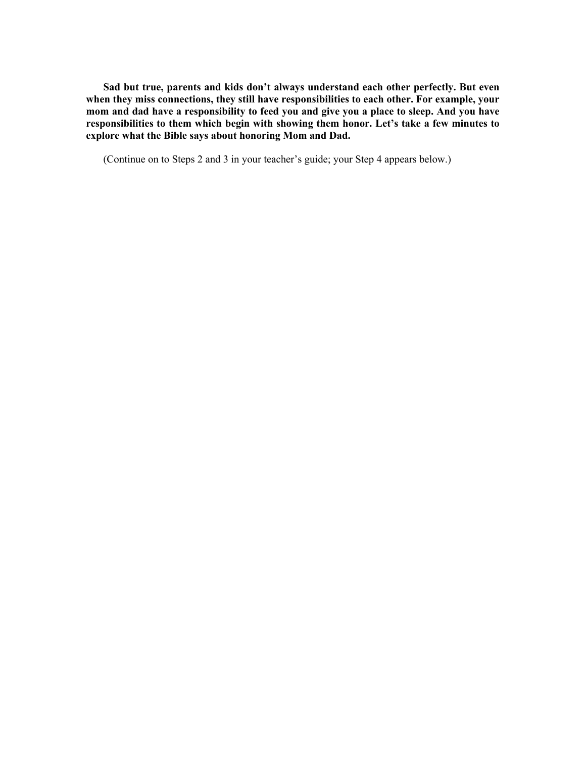**Sad but true, parents and kids don't always understand each other perfectly. But even when they miss connections, they still have responsibilities to each other. For example, your mom and dad have a responsibility to feed you and give you a place to sleep. And you have responsibilities to them which begin with showing them honor. Let's take a few minutes to explore what the Bible says about honoring Mom and Dad.**

(Continue on to Steps 2 and 3 in your teacher's guide; your Step 4 appears below.)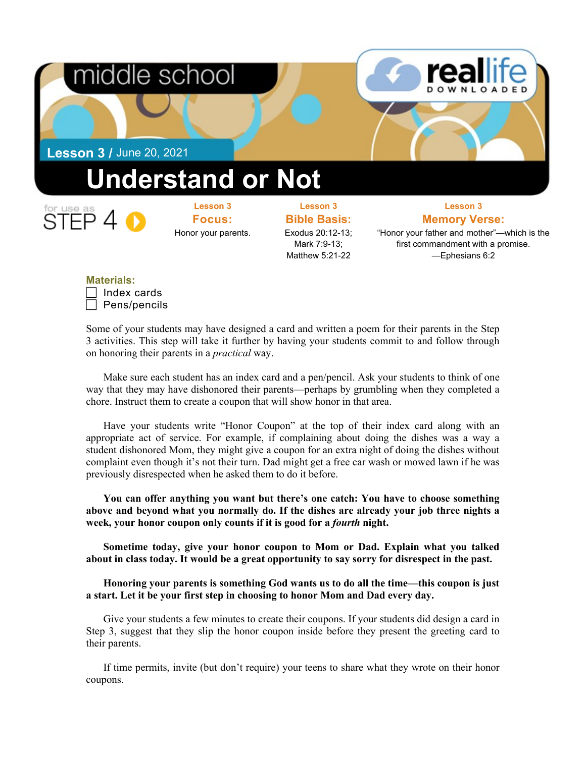

**Materials:**

| . |              |
|---|--------------|
|   | Index cards  |
|   | Pens/pencils |

Some of your students may have designed a card and written a poem for their parents in the Step 3 activities. This step will take it further by having your students commit to and follow through on honoring their parents in a *practical* way.

Make sure each student has an index card and a pen/pencil. Ask your students to think of one way that they may have dishonored their parents—perhaps by grumbling when they completed a chore. Instruct them to create a coupon that will show honor in that area.

Have your students write "Honor Coupon" at the top of their index card along with an appropriate act of service. For example, if complaining about doing the dishes was a way a student dishonored Mom, they might give a coupon for an extra night of doing the dishes without complaint even though it's not their turn. Dad might get a free car wash or mowed lawn if he was previously disrespected when he asked them to do it before.

**You can offer anything you want but there's one catch: You have to choose something above and beyond what you normally do. If the dishes are already your job three nights a week, your honor coupon only counts if it is good for a** *fourth* **night.**

**Sometime today, give your honor coupon to Mom or Dad. Explain what you talked about in class today. It would be a great opportunity to say sorry for disrespect in the past.** 

**Honoring your parents is something God wants us to do all the time—this coupon is just a start. Let it be your first step in choosing to honor Mom and Dad every day.**

Give your students a few minutes to create their coupons. If your students did design a card in Step 3, suggest that they slip the honor coupon inside before they present the greeting card to their parents.

If time permits, invite (but don't require) your teens to share what they wrote on their honor coupons.